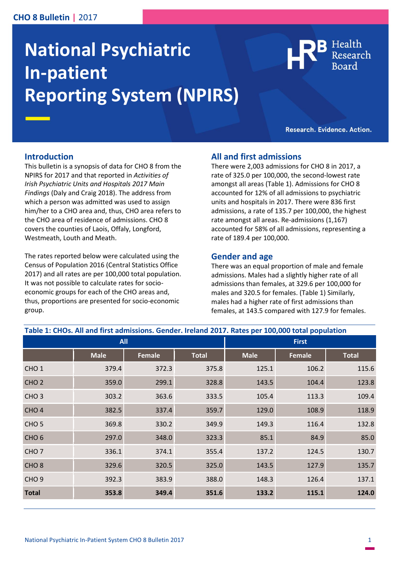## **CHO 8 Bulletin |** 2017

# **National Psychiatric In-patient Reporting System (NPIRS)**

Health

Research. Evidence. Action.

### **Introduction**

This bulletin is a synopsis of data for CHO 8 from the NPIRS for 2017 and that reported in *Activities of Irish Psychiatric Units and Hospitals 2017 Main Findings* (Daly and Craig 2018). The address from which a person was admitted was used to assign him/her to a CHO area and, thus, CHO area refers to the CHO area of residence of admissions. CHO 8 covers the counties of Laois, Offaly, Longford, Westmeath, Louth and Meath.

The rates reported below were calculated using the Census of Population 2016 (Central Statistics Office 2017) and all rates are per 100,000 total population. It was not possible to calculate rates for socioeconomic groups for each of the CHO areas and, thus, proportions are presented for socio-economic group.

## **All and first admissions**

There were 2,003 admissions for CHO 8 in 2017, a rate of 325.0 per 100,000, the second-lowest rate amongst all areas (Table 1). Admissions for CHO 8 accounted for 12% of all admissions to psychiatric units and hospitals in 2017. There were 836 first admissions, a rate of 135.7 per 100,000, the highest rate amongst all areas. Re-admissions (1,167) accounted for 58% of all admissions, representing a rate of 189.4 per 100,000.

### **Gender and age**

There was an equal proportion of male and female admissions. Males had a slightly higher rate of all admissions than females, at 329.6 per 100,000 for males and 320.5 for females. (Table 1) Similarly, males had a higher rate of first admissions than females, at 143.5 compared with 127.9 for females.

| Table 1: CHOs. All and first admissions. Gender. Ireland 2017. Rates per 100,000 total population |             |               |              |              |        |              |
|---------------------------------------------------------------------------------------------------|-------------|---------------|--------------|--------------|--------|--------------|
| <b>All</b>                                                                                        |             |               |              | <b>First</b> |        |              |
|                                                                                                   | <b>Male</b> | <b>Female</b> | <b>Total</b> | <b>Male</b>  | Female | <b>Total</b> |
| CHO <sub>1</sub>                                                                                  | 379.4       | 372.3         | 375.8        | 125.1        | 106.2  | 115.6        |
| CHO <sub>2</sub>                                                                                  | 359.0       | 299.1         | 328.8        | 143.5        | 104.4  | 123.8        |
| CHO <sub>3</sub>                                                                                  | 303.2       | 363.6         | 333.5        | 105.4        | 113.3  | 109.4        |
| CHO <sub>4</sub>                                                                                  | 382.5       | 337.4         | 359.7        | 129.0        | 108.9  | 118.9        |
| CHO <sub>5</sub>                                                                                  | 369.8       | 330.2         | 349.9        | 149.3        | 116.4  | 132.8        |
| CHO <sub>6</sub>                                                                                  | 297.0       | 348.0         | 323.3        | 85.1         | 84.9   | 85.0         |
| CHO <sub>7</sub>                                                                                  | 336.1       | 374.1         | 355.4        | 137.2        | 124.5  | 130.7        |
| CHO <sub>8</sub>                                                                                  | 329.6       | 320.5         | 325.0        | 143.5        | 127.9  | 135.7        |
| CHO <sub>9</sub>                                                                                  | 392.3       | 383.9         | 388.0        | 148.3        | 126.4  | 137.1        |
| <b>Total</b>                                                                                      | 353.8       | 349.4         | 351.6        | 133.2        | 115.1  | 124.0        |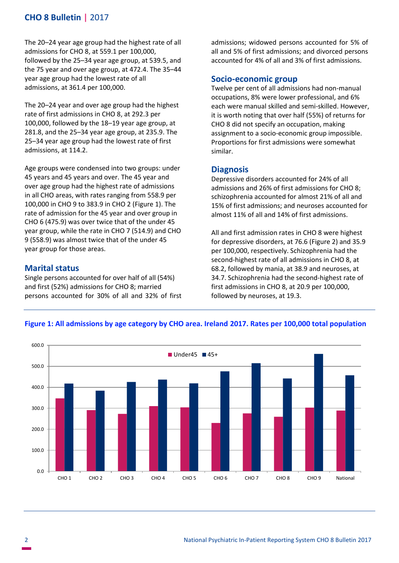# **CHO 8 Bulletin |** 2017

The 20–24 year age group had the highest rate of all admissions for CHO 8, at 559.1 per 100,000, followed by the 25–34 year age group, at 539.5, and the 75 year and over age group, at 472.4. The 35–44 year age group had the lowest rate of all admissions, at 361.4 per 100,000.

The 20–24 year and over age group had the highest rate of first admissions in CHO 8, at 292.3 per 100,000, followed by the 18–19 year age group, at 281.8, and the 25–34 year age group, at 235.9. The 25–34 year age group had the lowest rate of first admissions, at 114.2.

Age groups were condensed into two groups: under 45 years and 45 years and over. The 45 year and over age group had the highest rate of admissions in all CHO areas, with rates ranging from 558.9 per 100,000 in CHO 9 to 383.9 in CHO 2 (Figure 1). The rate of admission for the 45 year and over group in CHO 6 (475.9) was over twice that of the under 45 year group, while the rate in CHO 7 (514.9) and CHO 9 (558.9) was almost twice that of the under 45 year group for those areas.

## **Marital status**

Single persons accounted for over half of all (54%) and first (52%) admissions for CHO 8; married persons accounted for 30% of all and 32% of first admissions; widowed persons accounted for 5% of all and 5% of first admissions; and divorced persons accounted for 4% of all and 3% of first admissions.

## **Socio-economic group**

Twelve per cent of all admissions had non-manual occupations, 8% were lower professional, and 6% each were manual skilled and semi-skilled. However, it is worth noting that over half (55%) of returns for CHO 8 did not specify an occupation, making assignment to a socio-economic group impossible. Proportions for first admissions were somewhat similar.

## **Diagnosis**

Depressive disorders accounted for 24% of all admissions and 26% of first admissions for CHO 8; schizophrenia accounted for almost 21% of all and 15% of first admissions; and neuroses accounted for almost 11% of all and 14% of first admissions.

All and first admission rates in CHO 8 were highest for depressive disorders, at 76.6 (Figure 2) and 35.9 per 100,000, respectively. Schizophrenia had the second-highest rate of all admissions in CHO 8, at 68.2, followed by mania, at 38.9 and neuroses, at 34.7. Schizophrenia had the second-highest rate of first admissions in CHO 8, at 20.9 per 100,000, followed by neuroses, at 19.3.



### **Figure 1: All admissions by age category by CHO area. Ireland 2017. Rates per 100,000 total population**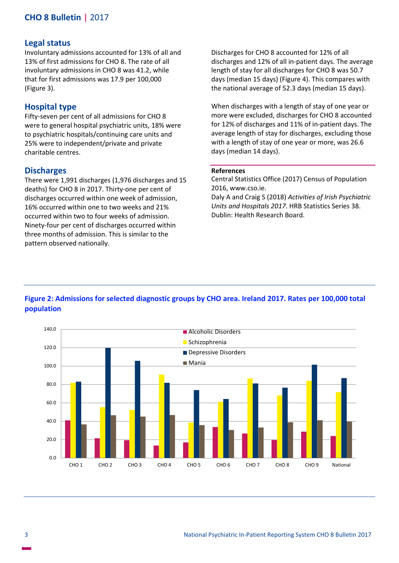# **CHO 8 Bulletin |** 2017

#### **Legal status**

Involuntary admissions accounted for 13% of all and 13% of first admissions for CHO 8. The rate of all involuntary admissions in CHO 8 was 41.2, while that for first admissions was 17.9 per 100,000 (Figure 3).

## **Hospital type**

Fifty-seven per cent of all admissions for CHO 8 were to general hospital psychiatric units, 18% were to psychiatric hospitals/continuing care units and 25% were to independent/private and private charitable centres.

#### **Discharges**

There were 1,991 discharges (1,976 discharges and 15 deaths) for CHO 8 in 2017. Thirty-one per cent of discharges occurred within one week of admission, 16% occurred within one to two weeks and 21% occurred within two to four weeks of admission. Ninety-four per cent of discharges occurred within three months of admission. This is similar to the pattern observed nationally.

Discharges for CHO 8 accounted for 12% of all discharges and 12% of all in-patient days. The average length of stay for all discharges for CHO 8 was 50.7 days (median 15 days) (Figure 4). This compares with the national average of 52.3 days (median 15 days).

When discharges with a length of stay of one year or more were excluded, discharges for CHO 8 accounted for 12% of discharges and 11% of in-patient days. The average length of stay for discharges, excluding those with a length of stay of one year or more, was 26.6 days (median 14 days).

#### **References**

Central Statistics Office (2017) Census of Population 2016, www.cso.ie.

Daly A and Craig S (2018) *Activities of Irish Psychiatric Units and Hospitals 2017*. HRB Statistics Series 38. Dublin: Health Research Board.



## **Figure 2: Admissions for selected diagnostic groups by CHO area. Ireland 2017. Rates per 100,000 total population**